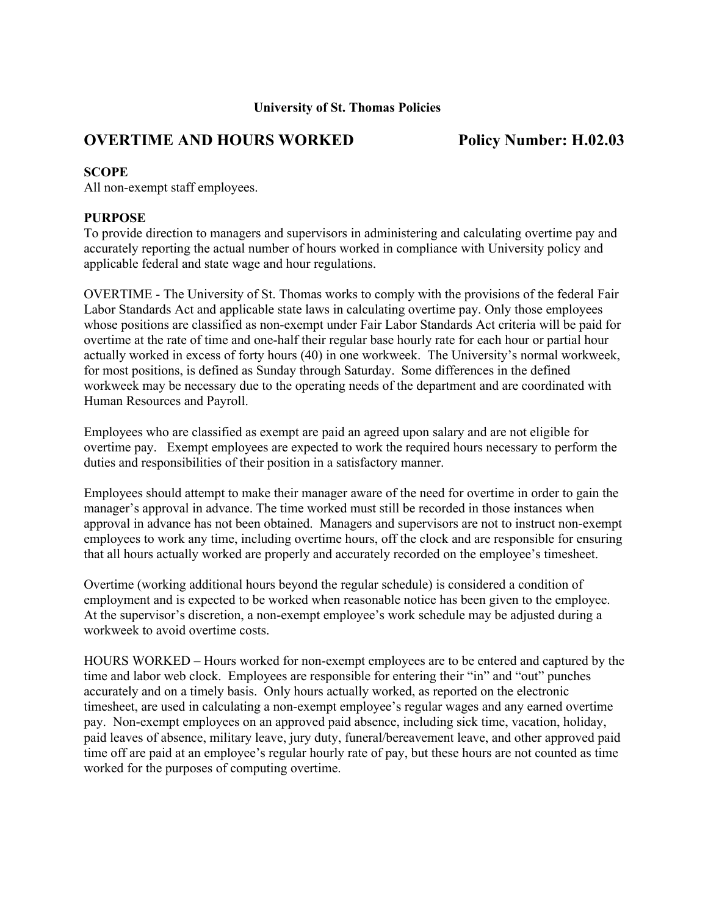## **University of St. Thomas Policies**

# **OVERTIME AND HOURS WORKED Policy Number: H.02.03**

## **SCOPE**

All non-exempt staff employees.

## **PURPOSE**

To provide direction to managers and supervisors in administering and calculating overtime pay and accurately reporting the actual number of hours worked in compliance with University policy and applicable federal and state wage and hour regulations.

OVERTIME - The University of St. Thomas works to comply with the provisions of the federal Fair Labor Standards Act and applicable state laws in calculating overtime pay. Only those employees whose positions are classified as non-exempt under Fair Labor Standards Act criteria will be paid for overtime at the rate of time and one-half their regular base hourly rate for each hour or partial hour actually worked in excess of forty hours (40) in one workweek. The University's normal workweek, for most positions, is defined as Sunday through Saturday. Some differences in the defined workweek may be necessary due to the operating needs of the department and are coordinated with Human Resources and Payroll.

Employees who are classified as exempt are paid an agreed upon salary and are not eligible for overtime pay. Exempt employees are expected to work the required hours necessary to perform the duties and responsibilities of their position in a satisfactory manner.

Employees should attempt to make their manager aware of the need for overtime in order to gain the manager's approval in advance. The time worked must still be recorded in those instances when approval in advance has not been obtained. Managers and supervisors are not to instruct non-exempt employees to work any time, including overtime hours, off the clock and are responsible for ensuring that all hours actually worked are properly and accurately recorded on the employee's timesheet.

Overtime (working additional hours beyond the regular schedule) is considered a condition of employment and is expected to be worked when reasonable notice has been given to the employee. At the supervisor's discretion, a non-exempt employee's work schedule may be adjusted during a workweek to avoid overtime costs.

HOURS WORKED – Hours worked for non-exempt employees are to be entered and captured by the time and labor web clock. Employees are responsible for entering their "in" and "out" punches accurately and on a timely basis. Only hours actually worked, as reported on the electronic timesheet, are used in calculating a non-exempt employee's regular wages and any earned overtime pay. Non-exempt employees on an approved paid absence, including sick time, vacation, holiday, paid leaves of absence, military leave, jury duty, funeral/bereavement leave, and other approved paid time off are paid at an employee's regular hourly rate of pay, but these hours are not counted as time worked for the purposes of computing overtime.